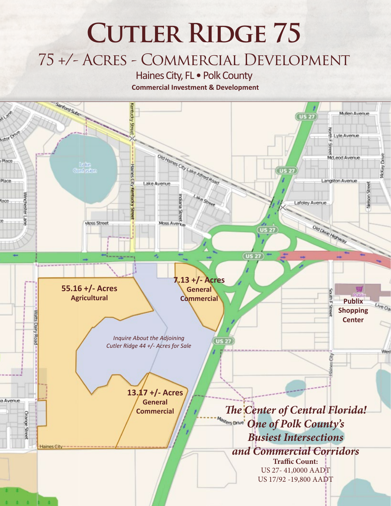# **CUTLER RIDGE 75** 75 +/- Acres - Commercial Development

Haines City, FL • Polk County

**Commercial Investment & Development**

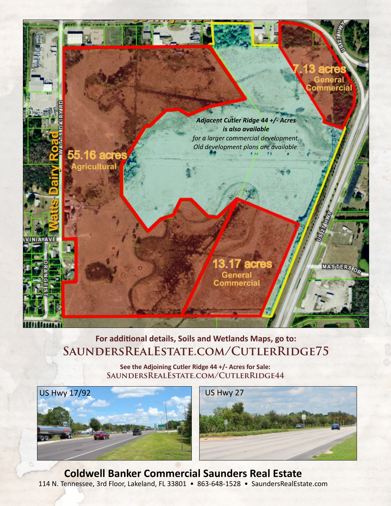

## **For additional details, Soils and Wetlands Maps, go to: SaundersRealEstate.com/CutlerRidge75**

**See the Adjoining Cutler Ridge 44 +/- Acres for Sale: SaundersRealEstate.com/CutlerRidge44**





**Coldwell Banker Commercial Saunders Real Estate** 114 N. Tennessee, 3rd Floor, Lakeland, FL 33801 • 863-648-1528 • SaundersRealEstate.com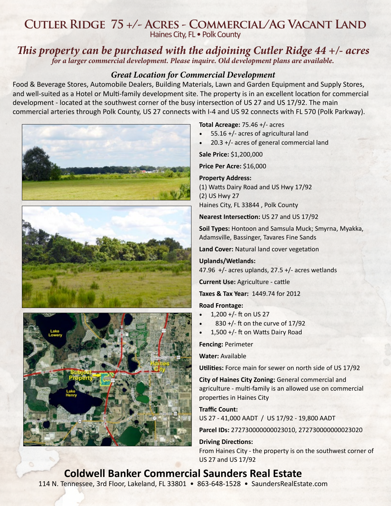## **Cutler Ridge 75 +/- Acres - Commercial/Ag Vacant Land** Haines City, FL • Polk County

### *This property can be purchased with the adjoining Cutler Ridge 44 +/- acres for a larger commercial development. Please inquire. Old development plans are available.*

#### *Great Location for Commercial Development*

Food & Beverage Stores, Automobile Dealers, Building Materials, Lawn and Garden Equipment and Supply Stores, and well-suited as a Hotel or Multi-family development site. The property is in an excellent location for commercial development - located at the southwest corner of the busy intersection of US 27 and US 17/92. The main commercial arteries through Polk County, US 27 connects with I-4 and US 92 connects with FL 570 (Polk Parkway).



#### **Total Acreage:** 75.46 +/- acres

- 55.16 +/- acres of agricultural land
- 20.3 +/- acres of general commercial land

**Sale Price:** \$1,200,000

**Price Per Acre:** \$16,000

**Property Address:**  (1) Watts Dairy Road and US Hwy 17/92 (2) US Hwy 27 Haines City, FL 33844 , Polk County

**Nearest Intersection:** US 27 and US 17/92

**Soil Types:** Hontoon and Samsula Muck; Smyrna, Myakka, Adamsville, Bassinger, Tavares Fine Sands

**Land Cover:** Natural land cover vegetation

**Uplands/Wetlands:**  47.96  $+/-$  acres uplands, 27.5  $+/-$  acres wetlands

**Current Use:** Agriculture - cattle

**Taxes & Tax Year:** 1449.74 for 2012

**Road Frontage:** 

- $\cdot$  1,200 +/- ft on US 27
- $830 +$ /- ft on the curve of 17/92
- 1,500 +/- ft on Watts Dairy Road

**Fencing:** Perimeter

**Water:** Available

**Utilities:** Force main for sewer on north side of US 17/92

**City of Haines City Zoning:** General commercial and agriculture - multi-family is an allowed use on commercial properties in Haines City

#### **Traffic Count:**

US 27 - 41,000 AADT / US 17/92 - 19,800 AADT

**Parcel IDs:** 272730000000023010, 272730000000023020

**Driving Directions:** From Haines City - the property is on the southwest corner of US 27 and US 17/92

# **Coldwell Banker Commercial Saunders Real Estate**

114 N. Tennessee, 3rd Floor, Lakeland, FL 33801 • 863-648-1528 • SaundersRealEstate.com